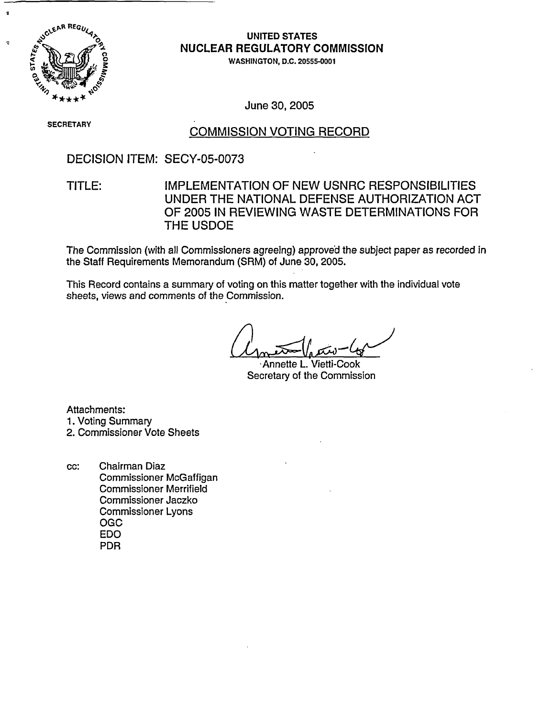

# **UNITED STATES** NUCLEAR REGULATORY COMMISSION

WASHINGTON, D.C. 20555-0001

June 30, 2005

SECRETARY

## COMMISSION VOTING RECORD

DECISION ITEM: SECY-05-0073

# TITLE: IMPLEMENTATION OF NEW USNRC RESPONSIBILITIES UNDER THE NATIONAL DEFENSE AUTHORIZATION ACT OF 2005 IN REVIEWING WASTE DETERMINATIONS FOR THE USDOE

The Commission (with all Commissioners agreeing) approved the subject paper as recorded in the Staff Requirements Memorandum (SRM) of June 30, 2005.

This Record contains a summary of voting on this matter together with the individual vote sheets, views and comments of the Commission.

Annette L. Vietti-Cook Secretary of the Commission

Attachments:

1. Voting Summary

2. Commissioner Vote Sheets

cc: Chairman Diaz Commissioner McGaffigan Commissioner Merrifield Commissioner Jaczko Commissioner Lyons OGC EDO PDR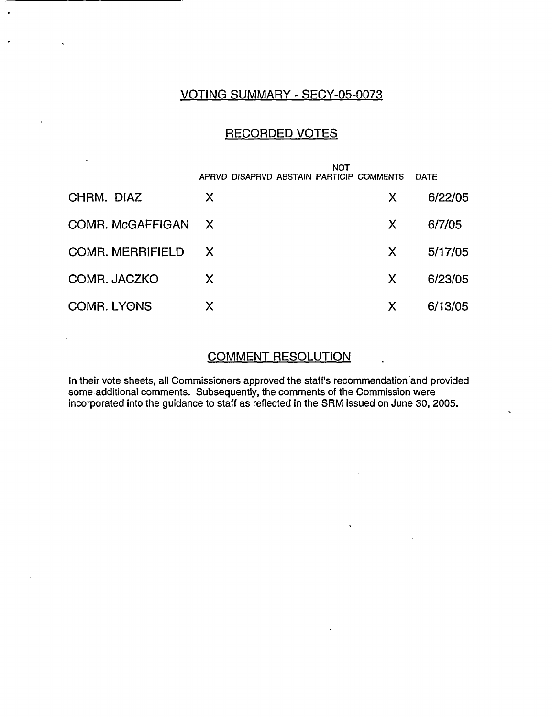### VOTING SUMMARY - SECY-05-0073

 $\ddot{\bullet}$ 

 $\ddot{z}$ 

## RECORDED VOTES

|                         | <b>NOT</b>   |                                          |    |             |
|-------------------------|--------------|------------------------------------------|----|-------------|
|                         |              | APRVD DISAPRVD ABSTAIN PARTICIP COMMENTS |    | <b>DATE</b> |
| CHRM. DIAZ              | X            |                                          | X  | 6/22/05     |
| COMR. McGAFFIGAN        | $\mathsf{X}$ |                                          | X. | 6/7/05      |
| <b>COMR. MERRIFIELD</b> | X,           |                                          | X. | 5/17/05     |
| COMR. JACZKO            | X            |                                          | X. | 6/23/05     |
| <b>COMR. LYONS</b>      | X            |                                          | X  | 6/13/05     |

### COMMENT RESOLUTION

 $\ddot{\phantom{1}}$ 

In their vote sheets, all Commissioners approved the staff's recommendation and provided some additional comments. Subsequently, the comments of the Commission were incorporated into the guidance to staff as reflected in the SRM issued on June 30, 2005.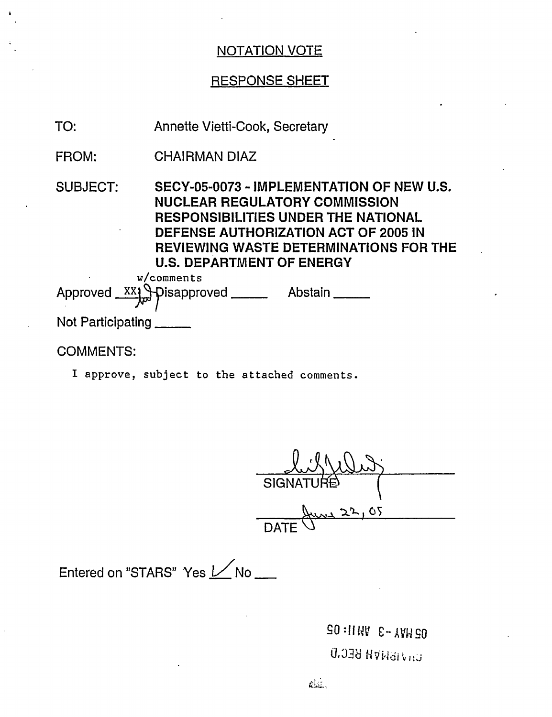# RESPONSE SHEET

| TO:               | <b>Annette Vietti-Cook, Secretary</b>                                                                                                                                                                                                                                         |
|-------------------|-------------------------------------------------------------------------------------------------------------------------------------------------------------------------------------------------------------------------------------------------------------------------------|
| <b>FROM:</b>      | <b>CHAIRMAN DIAZ</b>                                                                                                                                                                                                                                                          |
| <b>SUBJECT:</b>   | SECY-05-0073 - IMPLEMENTATION OF NEW U.S.<br><b>NUCLEAR REGULATORY COMMISSION</b><br><b>RESPONSIBILITIES UNDER THE NATIONAL</b><br>DEFENSE AUTHORIZATION ACT OF 2005 IN<br><b>REVIEWING WASTE DETERMINATIONS FOR THE</b><br><b>U.S. DEPARTMENT OF ENERGY</b><br>$w$ /comments |
|                   | Approved XX1 Pisapproved _____<br>Abstain                                                                                                                                                                                                                                     |
| Not Participating |                                                                                                                                                                                                                                                                               |

# COMMENTS:

I approve, subject to the attached comments.

<u>XIXIVI</u><br>SIGNATUR<del>E</del>  $\frac{\mu_{\text{max}} 22,05}{\mu_{\text{max}} 22,05}$ 

Entered on "STARS" Yes  $1/$ No \_\_

**BO:114V 8-XVHSO**  $U_0$  *J B H V H BEC.D*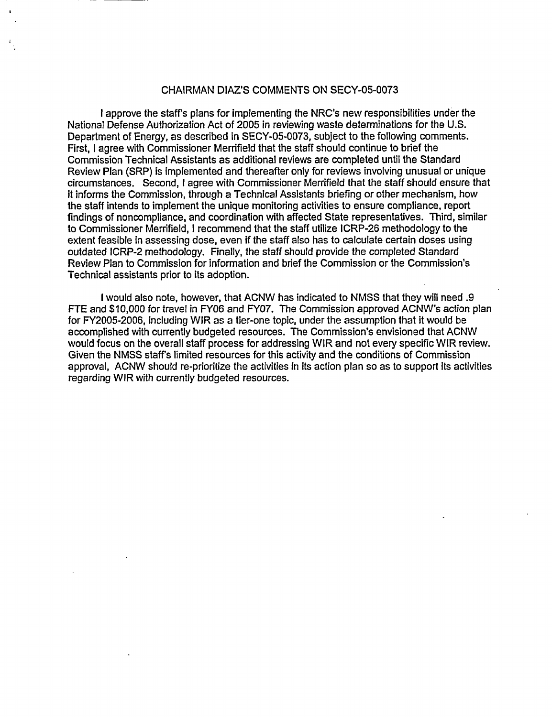#### CHAIRMAN DIAZ'S COMMENTS ON SECY-05-0073

I approve the staffs plans for implementing the NRC's new responsibilities under the National Defense Authorization Act of 2005 in reviewing waste determinations for the U.S. Department of Energy, as described in SECY-05-0073, subject to the following comments. First, I agree with Commissioner Merrifield that the staff should continue to brief the Commission Technical Assistants as additional reviews are completed until the Standard Review Plan (SRP) is implemented and thereafter only for reviews involving unusual or unique circumstances. Second, I agree with Commissioner Merrifield that the staff should ensure that it informs the Commission, through a Technical Assistants briefing or other mechanism, how the staff intends to implement the unique monitoring activities to ensure compliance, report findings of noncompliance, and coordination with affected State representatives. Third, similar to Commissioner Merrifield, I recommend that the staff utilize ICRP-26 methodology to the extent feasible in assessing dose, even if the staff also has to calculate certain doses using outdated ICRP-2 methodology. Finally, the staff should provide the completed Standard Review Plan to Commission for information and brief the Commission or the Commission's Technical assistants prior to its adoption.

I would also note, however, that ACNW has indicated to NMSS that they will need .9 FTE and \$10,000 for travel in FY06 and FY07. The Commission approved ACNW's action plan for FY2005-2006, including WIR as a tier-one topic, under the assumption that it would be accomplished with currently budgeted resources. The Commission's envisioned that ACNW would focus on the overall staff process for addressing WIR and not every specific WIR review. Given the NMSS staff's limited resources for this activity and the conditions of Commission approval, ACNW should re-prioritize the activities in its action plan so as to support its activities regarding WIR with currently budgeted resources.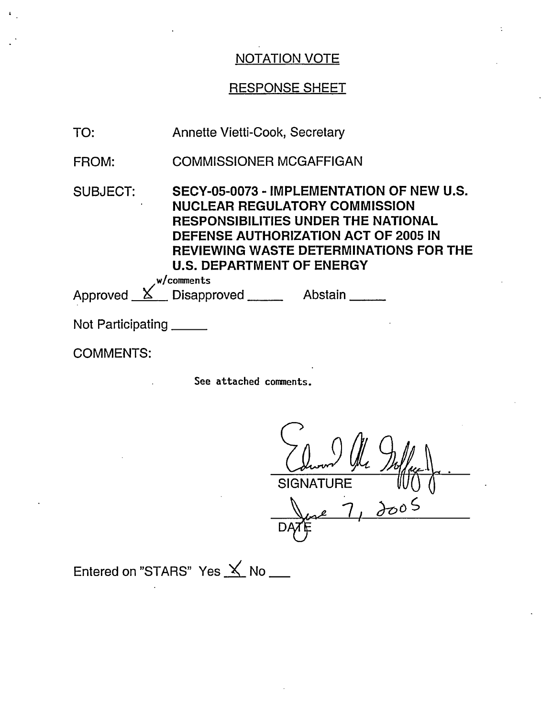# RESPONSE SHEET

| TO:               | Annette Vietti-Cook, Secretary                                                                                                                                                                                                                                             |
|-------------------|----------------------------------------------------------------------------------------------------------------------------------------------------------------------------------------------------------------------------------------------------------------------------|
| FROM:             | <b>COMMISSIONER MCGAFFIGAN</b>                                                                                                                                                                                                                                             |
| <b>SUBJECT:</b>   | SECY-05-0073 - IMPLEMENTATION OF NEW U.S.<br><b>NUCLEAR REGULATORY COMMISSION</b><br><b>RESPONSIBILITIES UNDER THE NATIONAL</b><br>DEFENSE AUTHORIZATION ACT OF 2005 IN<br><b>REVIEWING WASTE DETERMINATIONS FOR THE</b><br><b>U.S. DEPARTMENT OF ENERGY</b><br>w/comments |
|                   | Approved <u>X</u> Disapproved Abstain                                                                                                                                                                                                                                      |
| Not Participating |                                                                                                                                                                                                                                                                            |

COMMENTS:

See attached comments.

**SIGNATURE** *teo,-*  $7, \frac{100}{5}$ 

ہے<br>سطحہ  $\mathsf{D}$ 

Entered on "STARS" Yes  $\angle$  No \_\_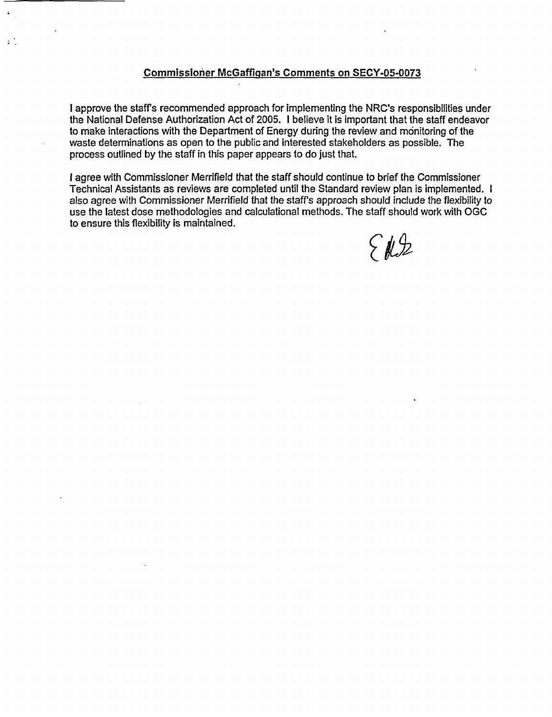### Commissioner McGaffigan's Comments on **SECY-05-0073**

 $\ddot{\cdot}$ 

 $\mathbf{C}$ 

I approve the staffs recommended approach for implementing the NRC's responsibilities under the National Defense Authorization Act of 2005. I believe it is important that the staff endeavor to make interactions with the Department of Energy during the review and monitoring of the waste determinations as open to the public and interested stakeholders as possible. The process outlined by the staff in this paper appears to do just that.

I agree with Commissioner Merrifield that the staff should continue to brief the Commissioner Technical Assistants as reviews are completed until the Standard review plan is implemented. I also agree with Commissioner Merrifield that the staff's approach should include the flexibility to use the latest dose methodologies and calculational methods. The staff should work with OGC to ensure this flexibility is maintained.

ERZ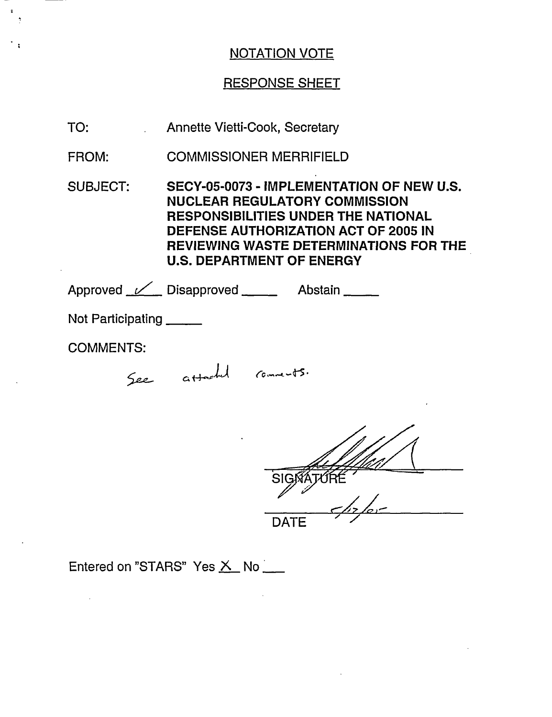# RESPONSE SHEET

| SECY-05-0073 - IMPLEMENTATION OF NEW U.S.<br><b>REVIEWING WASTE DETERMINATIONS FOR THE</b> |  |  |  |  |
|--------------------------------------------------------------------------------------------|--|--|--|--|
|                                                                                            |  |  |  |  |
| Not Participating _____                                                                    |  |  |  |  |
|                                                                                            |  |  |  |  |
|                                                                                            |  |  |  |  |
|                                                                                            |  |  |  |  |

*161111/* ",Z/T I / -X/,\_ **DATE** 

# Entered on "STARS" Yes  $\underline{\mathsf{X}}$  No $\underline{\phantom{A}}$

 $\hat{f}$  and  $\hat{f}$ 

 $\ddot{\phantom{a}}$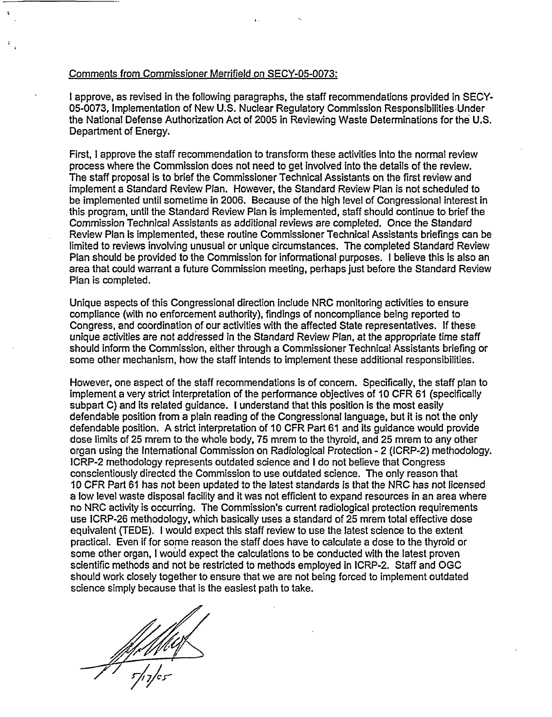#### Comments from Commissioner Merrifield on SECY-05-0073:

I approve, as revised in the following paragraphs, the staff recommendations provided in SECY-05-0073, Implementation of New U.S. Nuclear Regulatory Commission Responsibilities -Under the National Defense Authorization Act of 2005 in Reviewing Waste Determinations for the U.S. Department of Energy.

First, I approve the staff recommendation to transform these activities into the normal review process where the Commission does not need to get involved into the details of the review. The staff proposal is to brief the Commissioner Technical Assistants on the first review and implement a Standard Review Plan. However, the Standard Review Plan is not scheduled to be implemented until sometime in 2006. Because of the high level of Congressional interest in this program, until the Standard Review Plan is implemented, staff should continue to brief the Commission Technical Assistants as additional reviews are completed. Once the Standard Review Plan is implemented, these routine Commissioner Technical Assistants briefings can be limited to reviews involving unusual or unique circumstances. The completed Standard Review Plan should be provided to the Commission for informational purposes. I believe this is also an area that could warrant a future Commission meeting, perhaps just before the Standard Review Plan is completed.

Unique aspects of this Congressional direction include NRC monitoring activities to ensure compliance (with no enforcement authority), findings of noncompliance being reported to Congress, and coordination of our activities with the affected State representatives. If these unique activities are not addressed in the Standard Review Plan, at the appropriate time staff should inform the Commission, either through a Commissioner Technical Assistants briefing or some other mechanism, how the staff intends to implement these additional responsibilities.

However, one aspect of the staff recommendations is of concern. Specifically, the staff plan to implement a very strict interpretation of the performance objectives of 10 CFR 61 (specifically subpart C) and its related guidance. I understand that this position is the most easily defendable position from a plain reading of the Congressional language, but it is not the only defendable position. A strict interpretation of 10 CFR Part 61 and its guidance would provide dose limits of 25 mrem to the whole body, 75 mrem to the thyroid, and 25 mrem to any other organ using the International Commission on Radiological Protection - 2 (ICRP-2) methodology. ICRP-2 methodology represents outdated science and I do not believe that Congress conscientiously directed the Commission to use outdated science. The only reason that 10 CFR Part 61 has not been updated to the latest standards is that the NRC has not licensed a low level waste disposal facility and it was not efficient to expand resources in an area where no NRC activity is occurring. The Commission's current radiological protection requirements use ICRP-26 methodology, which basically uses a standard of 25 mrem total effective dose equivalent (TEDE). I would expect this staff review to use the latest science to the extent practical. Even if for some reason the staff does have to calculate a dose to the thyroid or some other organ, I would expect the calculations to be conducted with the latest proven scientific methods and not be restricted to methods employed in ICRP-2. Staff and OGC should work closely together to ensure that we are not being forced to implement outdated science simply because that is the easiest path to take.

*/* 7 **cs-**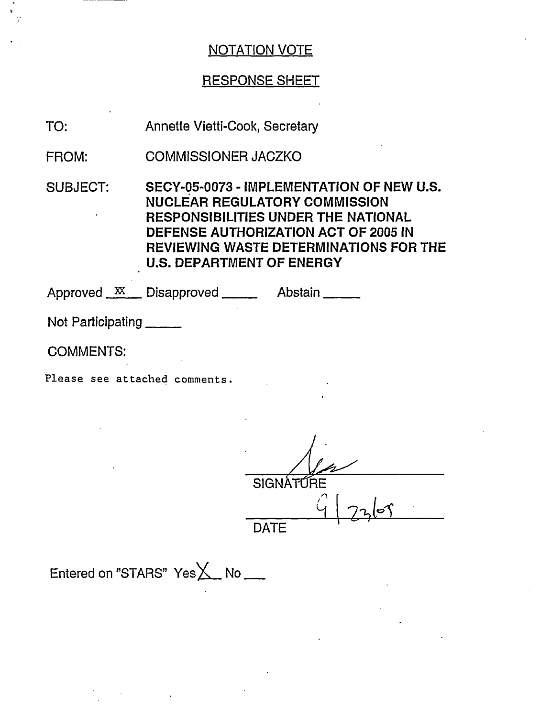# RESPONSE SHEET

TO: Annette Vietti-Cook, Secretary

FROM: COMMISSIONER JACZKO

SUBJECT: SECY-05-0073 - IMPLEMENTATION OF NEW U.S. NUCLEAR REGULATORY COMMISSION RESPONSIBILITIES UNDER THE NATIONAL DEFENSE AUTHORIZATION ACT OF 2005 IN REVIEWING WASTE DETERMINATIONS FOR THE U.S. DEPARTMENT OF ENERGY

Approved <u>XX</u> Disapproved Abstain

Not Participating

COMMENTS:

Please see attached comments.

**SIGNÁT** 

 $\mathbb{C}^{\mathbb{C}}$  $417268$ 

**DATF** 

Entered on "STARS"  $Yes \times No$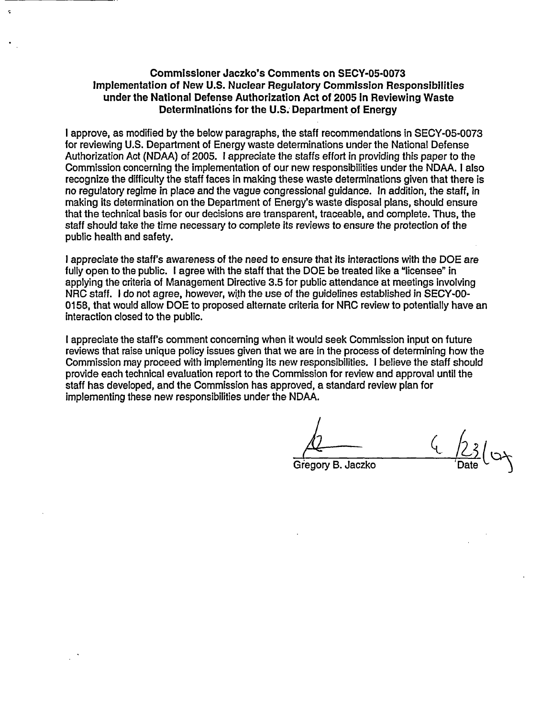#### **Commissioner Jaczko's Comments on SECY-05-0073 Implementation of New U.S. Nuclear Regulatory Commission Responsibilities under the National Defense Authorization Act of 2005 In Reviewing Waste Determinations for the U.S. Department of Energy**

I approve, as modified by the below paragraphs, the staff recommendations in SECY-05-0073 for reviewing U.S. Department of Energy waste determinations under the National Defense Authorization Act (NDAA) of 2005. 1 appreciate the staffs effort in providing this paper to the Commission concerning the implementation of our new responsibilities under the NDAA. I also recognize the difficulty the staff faces in making these waste determinations given that there is no regulatory regime in place and the vague congressional guidance. In addition, the staff, in making its determination on the Department of Energy's waste disposal plans, should ensure that the technical basis for our decisions are transparent, traceable, and complete. Thus, the staff should take the time necessary to complete its reviews to ensure the protection of the public health and safety.

I appreciate the staff's awareness of the need to ensure that its interactions with the DOE are fully open to the public. I agree with the staff that the DOE be treated like a "licensee" in applying the criteria of Management Directive 3.5 for public attendance at meetings involving NRC staff. I do not agree, however, with the use of the guidelines established in SECY-00- 0158, that would allow DOE to proposed alternate criteria for NRC review to potentially have an interaction closed to the public.

I appreciate the staff's comment concerning when it would seek Commission input on future reviews that raise unique policy issues given that we are in the process of determining how the Commission may proceed with implementing its new responsibilities. I believe the staff should provide each technical evaluation report to the Commission for review and approval until the staff has developed, and the Commission has approved, a standard review plan for implementing these new responsibilities under the NDAA.

Gregory B. Jaczko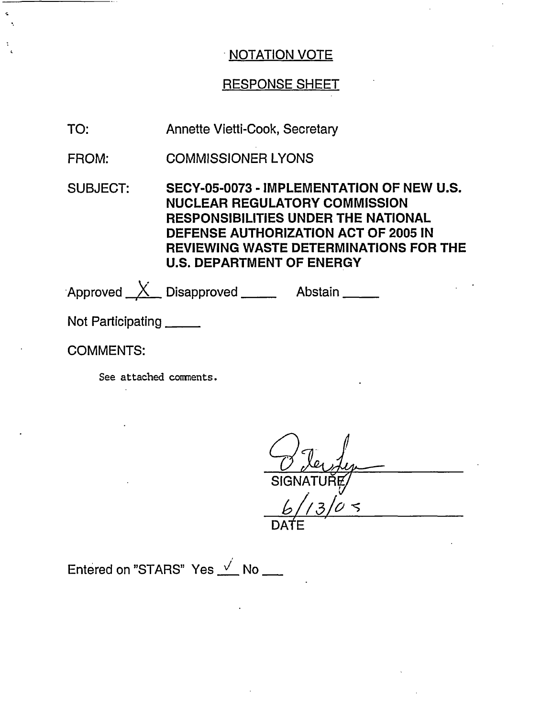# RESPONSE SHEET

- TO: Annette Vietti-Cook, Secretary
- FROM: COMMISSIONER LYONS
- SUBJECT: SECY-05-0073 - IMPLEMENTATION OF NEW U.S. NUCLEAR REGULATORY COMMISSION RESPONSIBILITIES UNDER THE NATIONAL DEFENSE AUTHORIZATION ACT OF 2005 IN REVIEWING WASTE DETERMINATIONS FOR THE U.S. DEPARTMENT OF ENERGY

Approved \_\_<u>X\_\_</u> Disapproved \_\_\_\_\_\_\_\_ Abstair

Not Participating

## COMMENTS:

See attached comments.

SIGNATURE/

DATE

Entered on "STARS" Yes  $\sqrt{N}$  No  $\frac{N}{N}$